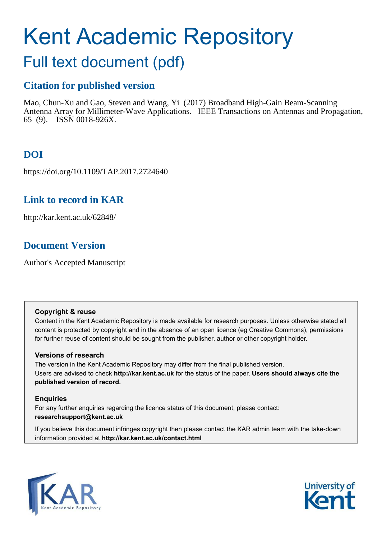# Kent Academic Repository

# Full text document (pdf)

## **Citation for published version**

Mao, Chun-Xu and Gao, Steven and Wang, Yi (2017) Broadband High-Gain Beam-Scanning Antenna Array for Millimeter-Wave Applications. IEEE Transactions on Antennas and Propagation, 65 (9). ISSN 0018-926X.

# **DOI**

https://doi.org/10.1109/TAP.2017.2724640

## **Link to record in KAR**

http://kar.kent.ac.uk/62848/

## **Document Version**

Author's Accepted Manuscript

#### **Copyright & reuse**

Content in the Kent Academic Repository is made available for research purposes. Unless otherwise stated all content is protected by copyright and in the absence of an open licence (eg Creative Commons), permissions for further reuse of content should be sought from the publisher, author or other copyright holder.

#### **Versions of research**

The version in the Kent Academic Repository may differ from the final published version. Users are advised to check **http://kar.kent.ac.uk** for the status of the paper. **Users should always cite the published version of record.**

#### **Enquiries**

For any further enquiries regarding the licence status of this document, please contact: **researchsupport@kent.ac.uk**

If you believe this document infringes copyright then please contact the KAR admin team with the take-down information provided at **http://kar.kent.ac.uk/contact.html**



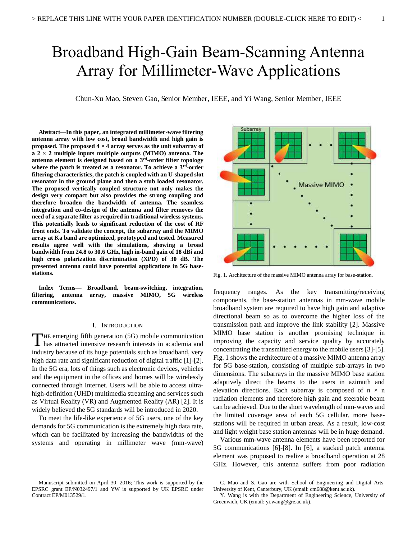# Broadband High-Gain Beam-Scanning Antenna Array for Millimeter-Wave Applications

Chun-Xu Mao, Steven Gao, Senior Member, IEEE, and Yi Wang, Senior Member, IEEE

**Abstract—In this paper, an integrated millimeter-wave filtering antenna array with low cost, broad bandwidth and high gain is proposed. The proposed 4 × 4 array serves as the unit subarray of a 2 × 2 multiple inputs multiple outputs (MIMO) antenna. The antenna element is designed based on a 3rd-order filter topology where the patch is treated as a resonator. To achieve a 3rd-order filtering characteristics, the patch is coupled with an U-shaped slot resonator in the ground plane and then a stub loaded resonator. The proposed vertically coupled structure not only makes the design very compact but also provides the strong coupling and therefore broaden the bandwidth of antenna. The seamless integration and co-design of the antenna and filter removes the need of a separate filter as required in traditional wireless systems. This potentially leads to significant reduction of the cost of RF front ends. To validate the concept, the subarray and the MIMO array at Ka band are optimized, prototyped and tested. Measured results agree well with the simulations, showing a broad bandwidth from 24.8 to 30.6 GHz, high in-band gain of 18 dBi and high cross polarization discrimination (XPD) of 30 dB. The presented antenna could have potential applications in 5G basestations.** 

**Index Terms— Broadband, beam-switching, integration, filtering, antenna array, massive MIMO, 5G wireless communications.** 

#### I. INTRODUCTION

HE emerging fifth generation (5G) mobile communication THE emerging fifth generation (5G) mobile communication<br>has attracted intensive research interests in academia and industry because of its huge potentials such as broadband, very high data rate and significant reduction of digital traffic [1]-[2]. In the 5G era, lots of things such as electronic devices, vehicles and the equipment in the offices and homes will be wirelessly connected through Internet. Users will be able to access ultrahigh-definition (UHD) multimedia streaming and services such as Virtual Reality (VR) and Augmented Reality (AR) [2]. It is widely believed the 5G standards will be introduced in 2020.

 To meet the life-like experience of 5G users, one of the key demands for 5G communication is the extremely high data rate, which can be facilitated by increasing the bandwidths of the systems and operating in millimeter wave (mm-wave)



components, the base-station antennas in mm-wave mobile broadband system are required to have high gain and adaptive directional beam so as to overcome the higher loss of the transmission path and improve the link stability [2]. Massive MIMO base station is another promising technique in improving the capacity and service quality by accurately concentrating the transmitted energy to the mobile users [3]-[5]. Fig. 1 shows the architecture of a massive MIMO antenna array for 5G base-station, consisting of multiple sub-arrays in two dimensions. The subarrays in the massive MIMO base station adaptively direct the beams to the users in azimuth and elevation directions. Each subarray is composed of  $n \times n$ radiation elements and therefore high gain and steerable beam can be achieved. Due to the short wavelength of mm-waves and the limited coverage area of each 5G cellular, more basestations will be required in urban areas. As a result, low-cost and light weight base station antennas will be in huge demand.

 Various mm-wave antenna elements have been reported for 5G communications [6]-[8]. In [6], a stacked patch antenna element was proposed to realize a broadband operation at 28 GHz. However, this antenna suffers from poor radiation

Manuscript submitted on April 30, 2016; This work is supported by the EPSRC grant EP/N032497/1 and YW is supported by UK EPSRC under Contract EP/M013529/1.

C. Mao and S. Gao are with School of Engineering and Digital Arts, University of Kent, Canterbury, UK (email: cm688@kent.ac.uk).

Y. Wang is with the Department of Engineering Science, University of Greenwich, UK (email: yi.wang@gre.ac.uk).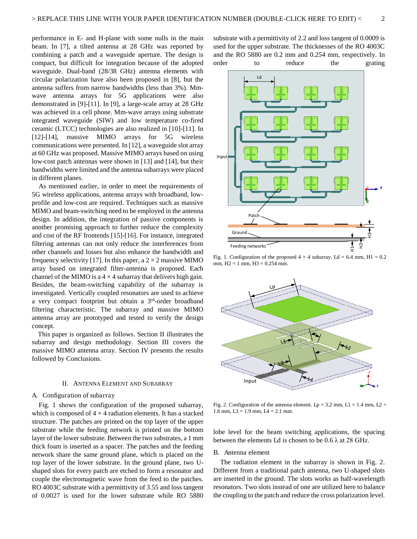performance in E- and H-plane with some nulls in the main beam. In [7], a tilted antenna at 28 GHz was reported by combining a patch and a waveguide aperture. The design is compact, but difficult for integration because of the adopted waveguide. Dual-band (28/38 GHz) antenna elements with circular polarization have also been proposed in [8], but the antenna suffers from narrow bandwidths (less than 3%). Mmwave antenna arrays for 5G applications were also demonstrated in [9]-[11]. In [9], a large-scale array at 28 GHz was achieved in a cell phone. Mm-wave arrays using substrate integrated waveguide (SIW) and low temperature co-fired ceramic (LTCC) technologies are also realized in [10]-[11]. In [12]-[14], massive MIMO arrays for 5G wireless communications were presented. In [12], a waveguide slot array at 60 GHz was proposed. Massive MIMO arrays based on using low-cost patch antennas were shown in [13] and [14], but their bandwidths were limited and the antenna subarrays were placed in different planes.

 As mentioned earlier, in order to meet the requirements of 5G wireless applications, antenna arrays with broadband, lowprofile and low-cost are required. Techniques such as massive MIMO and beam-switching need to be employed in the antenna design. In addition, the integration of passive components is another promising approach to further reduce the complexity and cost of the RF frontends [15]-[16]. For instance, integrated filtering antennas can not only reduce the interferences from other channels and losses but also enhance the bandwidth and frequency selectivity [17]. In this paper, a  $2 \times 2$  massive MIMO array based on integrated filter-antenna is proposed. Each channel of the MIMO is a  $4 \times 4$  subarray that delivers high gain. Besides, the beam-switching capability of the subarray is investigated. Vertically coupled resonators are used to achieve a very compact footprint but obtain a 3 rd-order broadband filtering characteristic. The subarray and massive MIMO antenna array are prototyped and tested to verify the design concept.

This paper is organized as follows. Section II illustrates the subarray and design methodology. Section III covers the massive MIMO antenna array. Section IV presents the results followed by Conclusions.

#### II. ANTENNA ELEMENT AND SUBARRAY

#### A. Configuration of subarray

Fig. 1 shows the configuration of the proposed subarray, which is composed of  $4 \times 4$  radiation elements. It has a stacked structure. The patches are printed on the top layer of the upper substrate while the feeding network is printed on the bottom layer of the lower substrate. Between the two substrates, a 1 mm thick foam is inserted as a spacer. The patches and the feeding network share the same ground plane, which is placed on the top layer of the lower substrate. In the ground plane, two Ushaped slots for every patch are etched to form a resonator and couple the electromagnetic wave from the feed to the patches. RO 4003C substrate with a permittivity of 3.55 and loss tangent of 0.0027 is used for the lower substrate while RO 5880

substrate with a permittivity of 2.2 and loss tangent of 0.0009 is used for the upper substrate. The thicknesses of the RO 4003C and the RO 5880 are 0.2 mm and 0.254 mm, respectively. In order to reduce the grating



Fig. 1. Configuration of the proposed  $4 \times 4$  subarray. Ld = 6.4 mm, H1 = 0.2 mm,  $H2 = 1$  mm,  $H3 = 0.254$  mm.



Fig. 2. Configuration of the antenna element.  $Lp = 3.2$  mm,  $L1 = 1.4$  mm,  $L2 =$ 1.6 mm,  $L3 = 1.9$  mm,  $L4 = 2.1$  mm.

lobe level for the beam switching applications, the spacing between the elements Ld is chosen to be  $0.6 \lambda$  at 28 GHz.

#### B. Antenna element

The radiation element in the subarray is shown in Fig. 2. Different from a traditional patch antenna, two U-shaped slots are inserted in the ground. The slots works as half-wavelength resonators. Two slots instead of one are utilized here to balance the coupling to the patch and reduce the cross polarization level.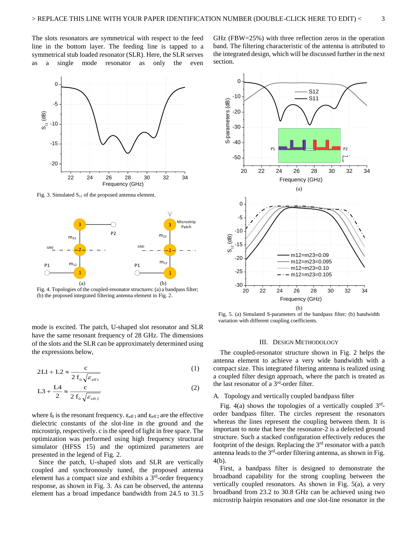section.

The slots resonators are symmetrical with respect to the feed line in the bottom layer. The feeding line is tapped to a symmetrical stub loaded resonator (SLR). Here, the SLR serves as a single mode resonator as only the even



Fig. 3. Simulated  $S_{11}$  of the proposed antenna element.



Fig. 4. Topologies of the coupled-resonator structures: (a) a bandpass filter; (b) the proposed integrated filtering antenna element in Fig. 2.

mode is excited. The patch, U-shaped slot resonator and SLR have the same resonant frequency of 28 GHz. The dimensions of the slots and the SLR can be approximately determined using the expressions below,

$$
2L1 + L2 \approx \frac{c}{2 f_0 \sqrt{\varepsilon_{\text{eff1}}}}
$$
 (1)

$$
L3 + \frac{L4}{2} \approx \frac{c}{2 f_0 \sqrt{\varepsilon_{\text{eff 2}}}}
$$
 (2)

where  $f_0$  is the resonant frequency.  $\epsilon_{\text{eff 1}}$  and  $\epsilon_{\text{eff 2}}$  are the effective dielectric constants of the slot-line in the ground and the microstrip, respectively. c is the speed of light in free space. The optimization was performed using high frequency structural simulator (HFSS 15) and the optimized parameters are presented in the legend of Fig. 2.

 Since the patch, U-shaped slots and SLR are vertically coupled and synchronously tuned, the proposed antenna element has a compact size and exhibits a  $3<sup>rd</sup>$ -order frequency response, as shown in Fig. 3. As can be observed, the antenna element has a broad impedance bandwidth from 24.5 to 31.5



GHz (FBW=25%) with three reflection zeros in the operation band. The filtering characteristic of the antenna is attributed to the integrated design, which will be discussed further in the next

Fig. 5. (a) Simulated S-parameters of the bandpass filter; (b) bandwidth variation with different coupling coefficients.

#### III. DESIGN METHODOLOGY

 The coupled-resonator structure shown in Fig. 2 helps the antenna element to achieve a very wide bandwidth with a compact size. This integrated filtering antenna is realized using a coupled filter design approach, where the patch is treated as the last resonator of a 3rd-order filter.

#### A. Topology and vertically coupled bandpass filter

Fig. 4(a) shows the topologies of a vertically coupled 3<sup>rd</sup>order bandpass filter. The circles represent the resonators whereas the lines represent the coupling between them. It is important to note that here the resonator-2 is a defected ground structure. Such a stacked configuration effectively reduces the footprint of the design. Replacing the 3rd resonator with a patch antenna leads to the 3rd-order filtering antenna, as shown in Fig. 4(b).

 First, a bandpass filter is designed to demonstrate the broadband capability for the strong coupling between the vertically coupled resonators. As shown in Fig. 5(a), a very broadband from 23.2 to 30.8 GHz can be achieved using two microstrip hairpin resonators and one slot-line resonator in the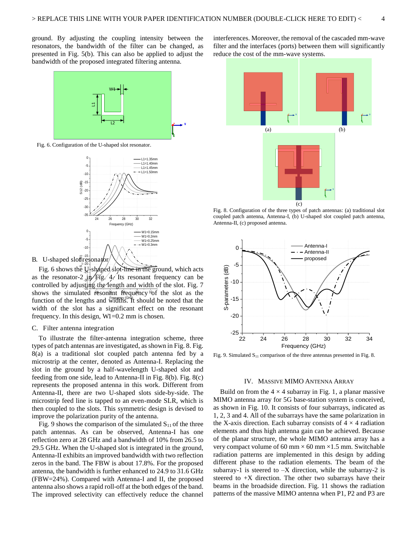ground. By adjusting the coupling intensity between the resonators, the bandwidth of the filter can be changed, as presented in Fig. 5(b). This can also be applied to adjust the bandwidth of the proposed integrated filtering antenna.



Fig. 6. Configuration of the U-shaped slot resonator.





Fig. 6 shows the  $U_{\text{B}}$  shaped slot-line in the ground, which acts as the resonator-2  $\frac{1}{2}$   $\frac{1}{2}$  Fig. 4. Its resonant frequency can be controlled by adjusting the length and width of the slot. Fig.  $7$ shows the simulated resonant requency <sup>3</sup> of the slot as the function of the lengths and widths. It should be noted that the width of the slot has a significant effect on the resonant frequency. In this design, W1=0.2 mm is chosen.

#### C. Filter antenna integration

 To illustrate the filter-antenna integration scheme, three types of patch antennas are investigated, as shown in Fig. 8. Fig. 8(a) is a traditional slot coupled patch antenna fed by a microstrip at the center, denoted as Antenna-I. Replacing the slot in the ground by a half-wavelength U-shaped slot and feeding from one side, lead to Antenna-II in Fig. 8(b). Fig. 8(c) represents the proposed antenna in this work. Different from Antenna-II, there are two U-shaped slots side-by-side. The microstrip feed line is tapped to an even-mode SLR, which is then coupled to the slots. This symmetric design is devised to improve the polarization purity of the antenna.

Fig. 9 shows the comparison of the simulated  $S_{11}$  of the three patch antennas. As can be observed, Antenna-I has one reflection zero at 28 GHz and a bandwidth of 10% from 26.5 to 29.5 GHz. When the U-shaped slot is integrated in the ground, Antenna-II exhibits an improved bandwidth with two reflection zeros in the band. The FBW is about 17.8%. For the proposed antenna, the bandwidth is further enhanced to 24.9 to 31.6 GHz (FBW=24%). Compared with Antenna-I and II, the proposed antenna also shows a rapid roll-off at the both edges of the band. The improved selectivity can effectively reduce the channel

interferences. Moreover, the removal of the cascaded mm-wave filter and the interfaces (ports) between them will significantly reduce the cost of the mm-wave systems.



Fig. 8. Configuration of the three types of patch antennas: (a) traditional slot coupled patch antenna, Antenna-I, (b) U-shaped slot coupled patch antenna, Antenna-II, (c) proposed antenna.



Fig. 9. Simulated  $S<sub>11</sub>$  comparison of the three antennas presented in Fig. 8.

#### IV. MASSIVE MIMO ANTENNA ARRAY

Build on from the  $4 \times 4$  subarray in Fig. 1, a planar massive MIMO antenna array for 5G base-station system is conceived, as shown in Fig. 10. It consists of four subarrays, indicated as 1, 2, 3 and 4. All of the subarrays have the same polarization in the X-axis direction. Each subarray consists of  $4 \times 4$  radiation elements and thus high antenna gain can be achieved. Because of the planar structure, the whole MIMO antenna array has a very compact volume of 60 mm  $\times$  60 mm  $\times$ 1.5 mm. Switchable radiation patterns are implemented in this design by adding different phase to the radiation elements. The beam of the subarray-1 is steered to  $-X$  direction, while the subarray-2 is steered to  $+X$  direction. The other two subarrays have their beams in the broadside direction. Fig. 11 shows the radiation patterns of the massive MIMO antenna when P1, P2 and P3 are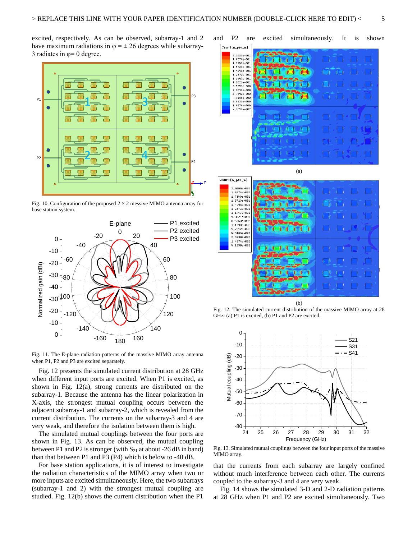excited, respectively. As can be observed, subarray-1 and 2 have maximum radiations in  $\varphi = \pm 26$  degrees while subarray-3 radiates in  $\varphi= 0$  degree.



Fig. 10. Configuration of the proposed  $2 \times 2$  messive MIMO antenna array for base station system.



Fig. 11. The E-plane radiation patterns of the massive MIMO array antenna when P1, P2 and P3 are excited separately.

 Fig. 12 presents the simulated current distribution at 28 GHz when different input ports are excited. When P1 is excited, as shown in Fig. 12(a), strong currents are distributed on the subarray-1. Because the antenna has the linear polarization in X-axis, the strongest mutual coupling occurs between the adjacent subarray-1 and subarray-2, which is revealed from the current distribution. The currents on the subarray-3 and 4 are very weak, and therefore the isolation between them is high.

 The simulated mutual couplings between the four ports are shown in Fig. 13. As can be observed, the mutual coupling between P1 and P2 is stronger (with  $S_{21}$  at about -26 dB in band) than that between P1 and P3 (P4) which is below to -40 dB.

 For base station applications, it is of interest to investigate the radiation characteristics of the MIMO array when two or more inputs are excited simultaneously. Here, the two subarrays (subarray-1 and 2) with the strongest mutual coupling are studied. Fig. 12(b) shows the current distribution when the P1

and P2 are excited simultaneously. It is shown



(b) Fig. 12. The simulated current distribution of the massive MIMO array at 28 GHz: (a) P1 is excited, (b) P1 and P2 are excited.



Fig. 13. Simulated mutual couplings between the four input ports of the massive MIMO array.

that the currents from each subarray are largely confined without much interference between each other. The currents coupled to the subarray-3 and 4 are very weak.

 Fig. 14 shows the simulated 3-D and 2-D radiation patterns at 28 GHz when P1 and P2 are excited simultaneously. Two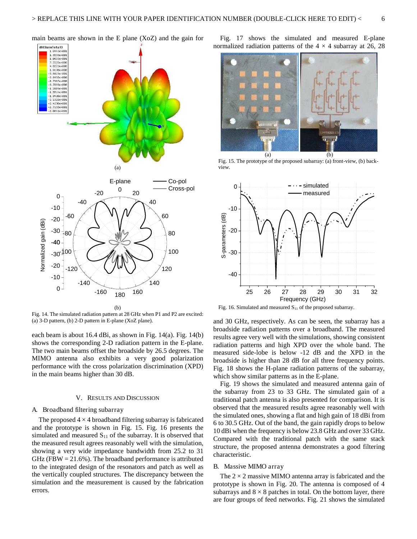

Fig. 14. The simulated radiation pattern at 28 GHz when P1 and P2 are excited: (a) 3-D pattern, (b) 2-D pattern in E-plane (XoZ plane).

each beam is about 16.4 dBi, as shown in Fig. 14(a). Fig. 14(b) shows the corresponding 2-D radiation pattern in the E-plane. The two main beams offset the broadside by 26.5 degrees. The MIMO antenna also exhibits a very good polarization performance with the cross polarization discrimination (XPD) in the main beams higher than 30 dB.

#### V. RESULTS AND DISCUSSION

#### A. Broadband filtering subarray

The proposed  $4 \times 4$  broadband filtering subarray is fabricated and the prototype is shown in Fig. 15. Fig. 16 presents the simulated and measured  $S_{11}$  of the subarray. It is observed that the measured result agrees reasonably well with the simulation, showing a very wide impedance bandwidth from 25.2 to 31 GHz ( $FBW = 21.6\%$ ). The broadband performance is attributed to the integrated design of the resonators and patch as well as the vertically coupled structures. The discrepancy between the simulation and the measurement is caused by the fabrication errors.

 Fig. 17 shows the simulated and measured E-plane normalized radiation patterns of the  $4 \times 4$  subarray at 26, 28



Fig. 15. The prototype of the proposed subarray: (a) front-view, (b) backview.



Fig. 16. Simulated and measured  $S<sub>11</sub>$  of the proposed subarray.

and 30 GHz, respectively. As can be seen, the subarray has a broadside radiation patterns over a broadband. The measured results agree very well with the simulations, showing consistent radiation patterns and high XPD over the whole band. The measured side-lobe is below -12 dB and the XPD in the broadside is higher than 28 dB for all three frequency points. Fig. 18 shows the H-plane radiation patterns of the subarray, which show similar patterns as in the E-plane.

 Fig. 19 shows the simulated and measured antenna gain of the subarray from 23 to 33 GHz. The simulated gain of a traditional patch antenna is also presented for comparison. It is observed that the measured results agree reasonably well with the simulated ones, showing a flat and high gain of 18 dBi from 6 to 30.5 GHz. Out of the band, the gain rapidly drops to below 10 dBi when the frequency is below 23.8 GHz and over 33 GHz. Compared with the traditional patch with the same stack structure, the proposed antenna demonstrates a good filtering characteristic.

#### B. Massive MIMO array

The  $2 \times 2$  massive MIMO antenna array is fabricated and the prototype is shown in Fig. 20. The antenna is composed of 4 subarrays and  $8 \times 8$  patches in total. On the bottom layer, there are four groups of feed networks. Fig. 21 shows the simulated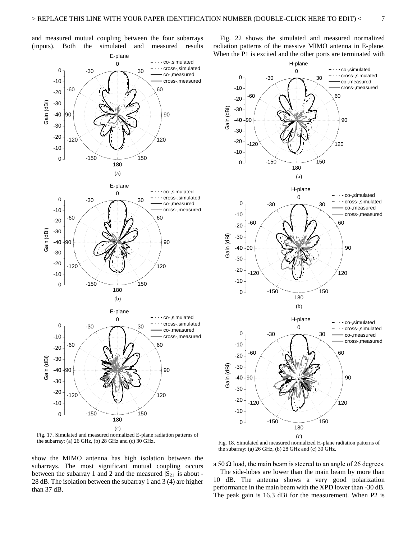and measured mutual coupling between the four subarrays (inputs). Both the simulated and measured results

 Fig. 22 shows the simulated and measured normalized radiation patterns of the massive MIMO antenna in E-plane. When the P1 is excited and the other ports are terminated with



Fig. 17. Simulated and measured normalized E-plane radiation patterns of the subarray: (a) 26 GHz, (b) 28 GHz and (c) 30 GHz.

show the MIMO antenna has high isolation between the subarrays. The most significant mutual coupling occurs between the subarray 1 and 2 and the measured  $|S_{21}|$  is about -28 dB. The isolation between the subarray 1 and 3 (4) are higher than 37 dB.



Fig. 18. Simulated and measured normalized H-plane radiation patterns of the subarray: (a) 26 GHz, (b) 28 GHz and (c) 30 GHz.

a 50  $\Omega$  load, the main beam is steered to an angle of 26 degrees.

 The side-lobes are lower than the main beam by more than 10 dB. The antenna shows a very good polarization performance in the main beam with the XPD lower than -30 dB. The peak gain is 16.3 dBi for the measurement. When P2 is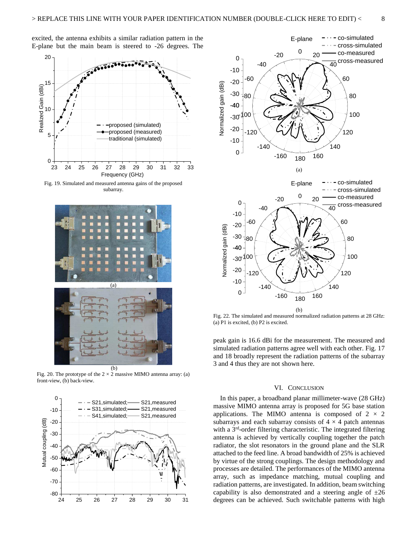excited, the antenna exhibits a similar radiation pattern in the E-plane but the main beam is steered to -26 degrees. The



Fig. 19. Simulated and measured antenna gains of the proposed subarray.



Fig. 20. The prototype of the  $2 \times 2$  massive MIMO antenna array: (a) front-view, (b) back-view.





Fig. 22. The simulated and measured normalized radiation patterns at 28 GHz: (a) P1 is excited, (b) P2 is excited.

peak gain is 16.6 dBi for the measurement. The measured and simulated radiation patterns agree well with each other. Fig. 17 and 18 broadly represent the radiation patterns of the subarray 3 and 4 thus they are not shown here.

#### VI. CONCLUSION

 In this paper, a broadband planar millimeter-wave (28 GHz) massive MIMO antenna array is proposed for 5G base station applications. The MIMO antenna is composed of  $2 \times 2$ subarrays and each subarray consists of  $4 \times 4$  patch antennas with a 3<sup>rd</sup>-order filtering characteristic. The integrated filtering antenna is achieved by vertically coupling together the patch radiator, the slot resonators in the ground plane and the SLR attached to the feed line. A broad bandwidth of 25% is achieved by virtue of the strong couplings. The design methodology and processes are detailed. The performances of the MIMO antenna array, such as impedance matching, mutual coupling and radiation patterns, are investigated. In addition, beam switching capability is also demonstrated and a steering angle of  $\pm 26$ degrees can be achieved. Such switchable patterns with high